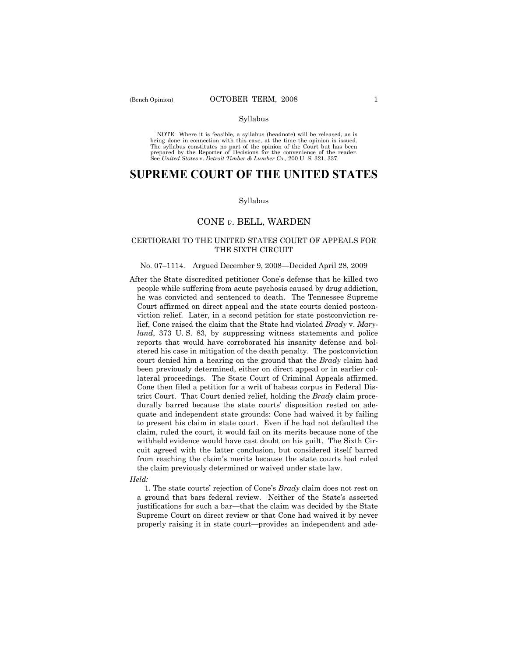## Syllabus

NOTE: Where it is feasible, a syllabus (headnote) will be released, as is being done in connection with this case, at the time the opinion is issued. The syllabus constitutes no part of the opinion of the Court but has been<br>prepared by the Reporter of Decisions for the convenience of the reader.<br>See United States v. Detroit Timber & Lumber Co., 200 U. S. 321, 337.

# **SUPREME COURT OF THE UNITED STATES**

#### Syllabus

## CONE *v*. BELL, WARDEN

## CERTIORARI TO THE UNITED STATES COURT OF APPEALS FOR THE SIXTH CIRCUIT

## No. 07–1114. Argued December 9, 2008—Decided April 28, 2009

After the State discredited petitioner Cone's defense that he killed two people while suffering from acute psychosis caused by drug addiction, he was convicted and sentenced to death. The Tennessee Supreme Court affirmed on direct appeal and the state courts denied postconviction relief. Later, in a second petition for state postconviction relief, Cone raised the claim that the State had violated *Brady* v. *Maryland*, 373 U. S. 83, by suppressing witness statements and police reports that would have corroborated his insanity defense and bolstered his case in mitigation of the death penalty. The postconviction court denied him a hearing on the ground that the *Brady* claim had been previously determined, either on direct appeal or in earlier collateral proceedings. The State Court of Criminal Appeals affirmed. Cone then filed a petition for a writ of habeas corpus in Federal District Court. That Court denied relief, holding the *Brady* claim procedurally barred because the state courts' disposition rested on adequate and independent state grounds: Cone had waived it by failing to present his claim in state court. Even if he had not defaulted the claim, ruled the court, it would fail on its merits because none of the withheld evidence would have cast doubt on his guilt. The Sixth Circuit agreed with the latter conclusion, but considered itself barred from reaching the claim's merits because the state courts had ruled the claim previously determined or waived under state law.

## *Held:*

 1. The state courts' rejection of Cone's *Brady* claim does not rest on a ground that bars federal review. Neither of the State's asserted justifications for such a bar—that the claim was decided by the State Supreme Court on direct review or that Cone had waived it by never properly raising it in state court—provides an independent and ade-